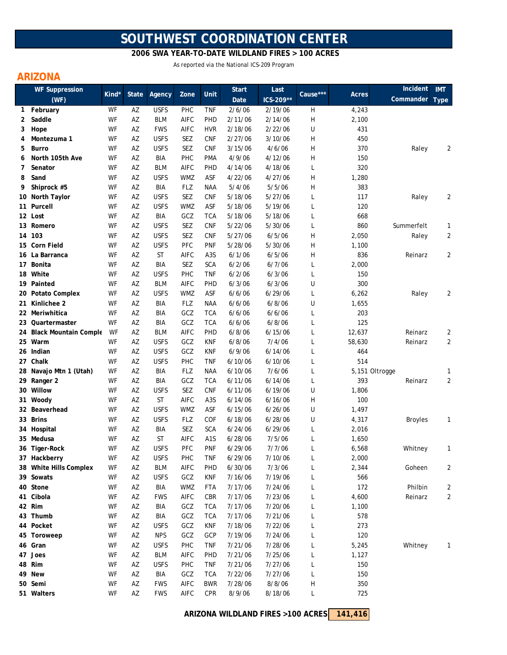## **SOUTHWEST COORDINATION CENTER**

 **2006 SWA YEAR-TO-DATE WILDLAND FIRES > 100 ACRES**

As reported via the National ICS-209 Program

## **ARIZONA**

| <b>WF Suppression</b><br>(WF) |                          |       |              |             | Zone        | Unit             | <b>Start</b> | Last      |          | Incident | <b>IMT</b>     |                |
|-------------------------------|--------------------------|-------|--------------|-------------|-------------|------------------|--------------|-----------|----------|----------|----------------|----------------|
|                               |                          | Kind* | <b>State</b> | Agency      |             |                  | Date         | ICS-209** | Cause*** | Acres    | Commander      | <b>Type</b>    |
| 1                             | February                 | WF    | AZ           | <b>USFS</b> | PHC         | <b>TNF</b>       | 2/6/06       | 2/19/06   | H        | 4,243    |                |                |
| 2                             | Saddle                   | WF    | AZ           | <b>BLM</b>  | AIFC        | PHD              | 2/11/06      | 2/14/06   | H        | 2,100    |                |                |
| 3                             | Hope                     | WF    | AZ           | <b>FWS</b>  | AIFC        | <b>HVR</b>       | 2/18/06      | 2/22/06   | U        | 431      |                |                |
| 4                             | Montezuma 1              | WF    | AZ           | <b>USFS</b> | SEZ         | <b>CNF</b>       | 2/27/06      | 3/10/06   | H        | 450      |                |                |
| 5                             | Burro                    | WF    | AZ           | <b>USFS</b> | <b>SEZ</b>  | <b>CNF</b>       | 3/15/06      | 4/6/06    | H        | 370      | Raley          | 2              |
| 6                             | North 105th Ave          | WF    | AZ           | BIA         | PHC         | <b>PMA</b>       | 4/9/06       | 4/12/06   | H        | 150      |                |                |
| 7                             | Senator                  | WF    | AZ           | <b>BLM</b>  | <b>AIFC</b> | PHD              | 4/14/06      | 4/18/06   | L        | 320      |                |                |
| 8                             | Sand                     | WF    | AZ           | <b>USFS</b> | <b>WMZ</b>  | ASF              | 4/22/06      | 4/27/06   | Η        | 1,280    |                |                |
| 9                             | Shiprock #5              | WF    | AZ           | BIA         | <b>FLZ</b>  | <b>NAA</b>       | 5/4/06       | 5/5/06    | Η        | 383      |                |                |
|                               | 10 North Taylor          | WF    | AZ           | <b>USFS</b> | SEZ         | <b>CNF</b>       | 5/18/06      | 5/27/06   | L        | 117      | Raley          | 2              |
| 11                            | Purcell                  | WF    | AZ           | <b>USFS</b> | <b>WMZ</b>  | ASF              | 5/18/06      | 5/19/06   | L        | 120      |                |                |
|                               | 12 Lost                  | WF    | AZ           | <b>BIA</b>  | GCZ         | <b>TCA</b>       | 5/18/06      | 5/18/06   | L        | 668      |                |                |
|                               | 13 Romero                | WF    | AZ           | <b>USFS</b> | SEZ         | <b>CNF</b>       | 5/22/06      | 5/30/06   | L        | 860      | Summerfelt     | 1              |
|                               | 14 103                   | WF    | AZ           | <b>USFS</b> | <b>SEZ</b>  | <b>CNF</b>       | 5/27/06      | 6/5/06    | Η        | 2,050    | Raley          | $\overline{2}$ |
|                               | 15 Corn Field            | WF    | AZ           | <b>USFS</b> | PFC         | <b>PNF</b>       | 5/28/06      | 5/30/06   | Н        | 1,100    |                |                |
|                               | 16 La Barranca           | WF    | AZ           | <b>ST</b>   | AIFC        | A <sub>3</sub> S | 6/1/06       | 6/5/06    | Н        | 836      | Reinarz        | $\overline{2}$ |
|                               | 17 Bonita                | WF    | AZ           | BIA         | SEZ         | <b>SCA</b>       | 6/2/06       | 6/7/06    | L        | 2,000    |                |                |
|                               | 18 White                 | WF    | AZ           | <b>USFS</b> | <b>PHC</b>  | <b>TNF</b>       | 6/2/06       | 6/3/06    | L        | 150      |                |                |
|                               | 19 Painted               | WF    | AZ           | <b>BLM</b>  | AIFC        | PHD              | 6/3/06       | 6/3/06    | U        | 300      |                |                |
|                               | 20 Potato Complex        | WF    | AZ           | <b>USFS</b> | <b>WMZ</b>  | <b>ASF</b>       | 6/6/06       | 6/29/06   | L        | 6,262    | Raley          | 2              |
| 21.                           | Kinlichee 2              | WF    | AZ           | <b>BIA</b>  | <b>FLZ</b>  | <b>NAA</b>       | 6/6/06       | 6/8/06    | U        | 1,655    |                |                |
|                               | 22 Meriwhitica           | WF    | AZ           | <b>BIA</b>  | GCZ         | <b>TCA</b>       | 6/6/06       | 6/6/06    | L        | 203      |                |                |
|                               | 23 Quartermaster         | WF    | AZ           | <b>BIA</b>  | GCZ         | <b>TCA</b>       | 6/6/06       | 6/8/06    | L        | 125      |                |                |
|                               | 24 Black Mountain Comple | WF    | AZ           | <b>BLM</b>  | AIFC        | PHD              | 6/8/06       | 6/15/06   | L        | 12,637   | Reinarz        | 2              |
|                               | 25 Warm                  | WF    | AZ           | <b>USFS</b> | GCZ         | <b>KNF</b>       | 6/8/06       | 7/4/06    | L        | 58,630   | Reinarz        | $\overline{2}$ |
|                               | 26 Indian                | WF    | AZ           | <b>USFS</b> | GCZ         | <b>KNF</b>       | 6/9/06       | 6/14/06   | L        | 464      |                |                |
|                               | 27 Chalk                 | WF    | AZ           | <b>USFS</b> | PHC         | <b>TNF</b>       | 6/10/06      | 6/10/06   | L        | 514      |                |                |
|                               | 28 Navajo Mtn 1 (Utah)   | WF    | AZ           | BIA         | <b>FLZ</b>  | <b>NAA</b>       | 6/10/06      | 7/6/06    | L        |          | 5,151 Oltrogge | 1              |
|                               | 29 Ranger 2              | WF    | AZ           | BIA         | GCZ         | <b>TCA</b>       | 6/11/06      | 6/14/06   | L        | 393      | Reinarz        | $\overline{2}$ |
|                               | 30 Willow                | WF    | AZ           | <b>USFS</b> | SEZ         | <b>CNF</b>       | 6/11/06      | 6/19/06   | U        | 1,806    |                |                |
| 31                            | Woody                    | WF    | AZ           | <b>ST</b>   | AIFC        | A <sub>3</sub> S | 6/14/06      | 6/16/06   | Н        | 100      |                |                |
|                               | 32 Beaverhead            | WF    | AZ           | <b>USFS</b> | <b>WMZ</b>  | ASF              | 6/15/06      | 6/26/06   | U        | 1,497    |                |                |
|                               | 33 Brins                 | WF    | AZ           | <b>USFS</b> | <b>FLZ</b>  | COF              | 6/18/06      | 6/28/06   | U        | 4,317    | <b>Broyles</b> | 1              |
|                               | 34 Hospital              | WF    | AZ           | <b>BIA</b>  | SEZ         | <b>SCA</b>       | 6/24/06      | 6/29/06   | L        | 2,016    |                |                |
|                               | 35 Medusa                | WF    | AZ           | ST          | AIFC        | A <sub>1</sub> S | 6/28/06      | 7/5/06    | L        | 1,650    |                |                |
|                               | 36 Tiger-Rock            | WF    | AZ           | <b>USFS</b> | PFC         | <b>PNF</b>       | 6/29/06      | 7/7/06    | L        | 6,568    | Whitney        | 1              |
|                               | 37 Hackberry             | WF    | ΑZ           | <b>USFS</b> | PHC         | <b>TNF</b>       | 6/29/06      | 7/10/06   | L        | 2,000    |                |                |
|                               | 38 White Hills Complex   | WF    | ΑZ           | <b>BLM</b>  | AIFC        | PHD              | 6/30/06      | 7/3/06    | L        | 2,344    | Goheen         | 2              |
|                               | 39 Sowats                | WF    | AZ           | <b>USFS</b> | GCZ         | <b>KNF</b>       | 7/16/06      | 7/19/06   | L        | 566      |                |                |
|                               | 40 Stone                 | WF    | AZ           | BIA         | <b>WMZ</b>  | <b>FTA</b>       | 7/17/06      | 7/24/06   | L        | 172      | Philbin        | 2              |
|                               | 41 Cibola                | WF    | AZ           | <b>FWS</b>  | AIFC        | CBR              | 7/17/06      | 7/23/06   | L        | 4,600    | Reinarz        | $\overline{2}$ |
|                               | 42 Rim                   | WF    | AZ           | <b>BIA</b>  | GCZ         | <b>TCA</b>       | 7/17/06      | 7/20/06   | L        | 1,100    |                |                |
|                               | 43 Thumb                 | WF    | AZ           | BIA         | GCZ         | <b>TCA</b>       | 7/17/06      | 7/21/06   | L        | 578      |                |                |
|                               | 44 Pocket                | WF    | AZ           | <b>USFS</b> | GCZ         | <b>KNF</b>       | 7/18/06      | 7/22/06   | L        | 273      |                |                |
|                               | 45 Toroweep              | WF    | AZ           | <b>NPS</b>  | GCZ         | GCP              | 7/19/06      | 7/24/06   | L        | 120      |                |                |
|                               | 46 Gran                  | WF    | AZ           | <b>USFS</b> | PHC         | <b>TNF</b>       | 7/21/06      | 7/28/06   | Г        | 5,245    | Whitney        | 1              |
|                               | 47 Joes                  | WF    | AZ           | <b>BLM</b>  | <b>AIFC</b> | PHD              | 7/21/06      | 7/25/06   | L        | 1,127    |                |                |
|                               | 48 Rim                   | WF    | AZ           | <b>USFS</b> | <b>PHC</b>  | <b>TNF</b>       | 7/21/06      | 7/27/06   | L        | 150      |                |                |
|                               | 49 New                   | WF    | AZ           | BIA         | GCZ         | <b>TCA</b>       | 7/22/06      | 7/27/06   | L        | 150      |                |                |
|                               | 50 Semi                  | WF    | AZ           | <b>FWS</b>  | <b>AIFC</b> | <b>BWR</b>       | 7/28/06      | 8/8/06    | H        | 350      |                |                |
|                               | 51 Walters               | WF    | AZ           | <b>FWS</b>  | AIFC        | <b>CPR</b>       | 8/9/06       | 8/18/06   | L        | 725      |                |                |
|                               |                          |       |              |             |             |                  |              |           |          |          |                |                |

**141,416 ARIZONA WILDLAND FIRES >100 ACRES**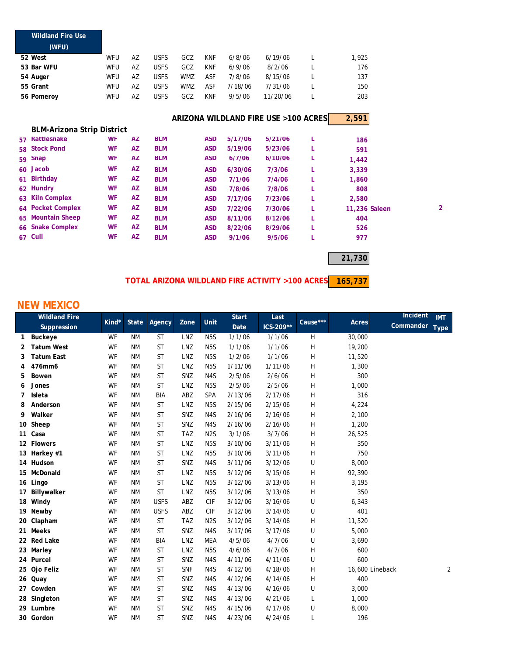|    | <b>Wildland Fire Use</b>          |           |    |             |            |            |         |                                      |   |               |                |
|----|-----------------------------------|-----------|----|-------------|------------|------------|---------|--------------------------------------|---|---------------|----------------|
|    | (WFU)                             |           |    |             |            |            |         |                                      |   |               |                |
|    | 52 West                           | WFU       | AZ | <b>USFS</b> | GCZ        | <b>KNF</b> | 6/8/06  | 6/19/06                              | L | 1,925         |                |
|    | 53 Bar WFU                        | WFU       | AZ | <b>USFS</b> | GCZ        | <b>KNF</b> | 6/9/06  | 8/2/06                               | L | 176           |                |
|    | 54 Auger                          | WFU       | AZ | <b>USFS</b> | <b>WMZ</b> | ASF        | 7/8/06  | 8/15/06                              | L | 137           |                |
|    | 55 Grant                          | WFU       | AZ | <b>USFS</b> | <b>WMZ</b> | ASF        | 7/18/06 | 7/31/06                              | L | 150           |                |
|    | 56 Pomeroy                        | WFU       | AZ | <b>USFS</b> | GCZ        | <b>KNF</b> | 9/5/06  | 11/20/06                             | L | 203           |                |
|    |                                   |           |    |             |            |            |         | ARIZONA WILDLAND FIRE USE >100 ACRES |   | 2,591         |                |
|    | <b>BLM-Arizona Strip District</b> |           |    |             |            |            |         |                                      |   |               |                |
|    | 57 Rattlesnake                    | WF        | AZ | <b>BLM</b>  |            | <b>ASD</b> | 5/17/06 | 5/21/06                              | L | 186           |                |
|    | 58 Stock Pond                     | WF        | AZ | <b>BLM</b>  |            | <b>ASD</b> | 5/19/06 | 5/23/06                              | L | 591           |                |
|    | 59 Snap                           | WF        | AZ | <b>BLM</b>  |            | <b>ASD</b> | 6/7/06  | 6/10/06                              | L | 1,442         |                |
|    | 60 Jacob                          | <b>WF</b> | AZ | <b>BLM</b>  |            | <b>ASD</b> | 6/30/06 | 7/3/06                               | L | 3,339         |                |
| 61 | <b>Birthday</b>                   | <b>WF</b> | AZ | <b>BLM</b>  |            | <b>ASD</b> | 7/1/06  | 7/4/06                               | L | 1,860         |                |
|    | 62 Hundry                         | <b>WF</b> | AZ | <b>BLM</b>  |            | <b>ASD</b> | 7/8/06  | 7/8/06                               | L | 808           |                |
| 63 | <b>Kiln Complex</b>               | <b>WF</b> | AZ | <b>BLM</b>  |            | <b>ASD</b> | 7/17/06 | 7/23/06                              | L | 2,580         |                |
|    | 64 Pocket Complex                 | <b>WF</b> | AZ | <b>BLM</b>  |            | <b>ASD</b> | 7/22/06 | 7/30/06                              | L | 11,236 Saleen | $\overline{2}$ |
|    | 65 Mountain Sheep                 | WF        | AZ | <b>BLM</b>  |            | <b>ASD</b> | 8/11/06 | 8/12/06                              | L | 404           |                |
|    | 66 Snake Complex                  | <b>WF</b> | AZ | <b>BLM</b>  |            | <b>ASD</b> | 8/22/06 | 8/29/06                              | L | 526           |                |
|    | 67 Cull                           | <b>WF</b> | AZ | <b>BLM</b>  |            | <b>ASD</b> | 9/1/06  | 9/5/06                               | L | 977           |                |
|    |                                   |           |    |             |            |            |         |                                      |   |               |                |

**21,730**

**165,737 TOTAL ARIZONA WILDLAND FIRE ACTIVITY >100 ACRES**

## **NEW MEXICO**

| <b>Wildland Fire</b> |                   |           |              |             |            |                  | <b>Start</b> | Last        |                           |                 | Incident  | <b>IMT</b>  |
|----------------------|-------------------|-----------|--------------|-------------|------------|------------------|--------------|-------------|---------------------------|-----------------|-----------|-------------|
|                      | Suppression       | Kind*     | <b>State</b> | Agency      | Zone       | Unit             | Date         | $ICS-209**$ | Cause***                  | Acres           | Commander | <b>Type</b> |
| 1                    | Buckeye           | WF        | <b>NM</b>    | <b>ST</b>   | LNZ        | N <sub>5</sub> S | 1/1/06       | 1/1/06      | H                         | 30,000          |           |             |
| 2                    | <b>Tatum West</b> | WF        | <b>NM</b>    | <b>ST</b>   | LNZ        | N <sub>5</sub> S | 1/1/06       | 1/1/06      | $\boldsymbol{\mathsf{H}}$ | 19,200          |           |             |
| 3                    | <b>Tatum East</b> | WF        | <b>NM</b>    | ST          | LNZ        | N <sub>5</sub> S | 1/2/06       | 1/1/06      | Н                         | 11,520          |           |             |
| 4                    | 476mm6            | WF        | <b>NM</b>    | <b>ST</b>   | LNZ        | N <sub>5</sub> S | 1/11/06      | 1/11/06     | Н                         | 1,300           |           |             |
| 5                    | Bowen             | WF        | <b>NM</b>    | ST          | SNZ        | N <sub>4</sub> S | 2/5/06       | 2/6/06      | H                         | 300             |           |             |
| 6                    | Jones             | WF        | <b>NM</b>    | ST          | LNZ        | N <sub>5</sub> S | 2/5/06       | 2/5/06      | Н                         | 1,000           |           |             |
| 7                    | Isleta            | WF        | <b>NM</b>    | BIA         | ABZ        | SPA              | 2/13/06      | 2/17/06     | Н                         | 316             |           |             |
| 8                    | Anderson          | WF        | <b>NM</b>    | <b>ST</b>   | LNZ        | N <sub>5</sub> S | 2/15/06      | 2/15/06     | Н                         | 4,224           |           |             |
| 9                    | Walker            | WF        | <b>NM</b>    | <b>ST</b>   | SNZ        | N4S              | 2/16/06      | 2/16/06     | H                         | 2,100           |           |             |
|                      | 10 Sheep          | WF        | <b>NM</b>    | <b>ST</b>   | SNZ        | N4S              | 2/16/06      | 2/16/06     | Н                         | 1,200           |           |             |
|                      | 11 Casa           | WF        | <b>NM</b>    | <b>ST</b>   | <b>TAZ</b> | N <sub>2</sub> S | 3/1/06       | 3/7/06      | Н                         | 26,525          |           |             |
|                      | 12 Flowers        | WF        | <b>NM</b>    | <b>ST</b>   | LNZ        | N <sub>5</sub> S | 3/10/06      | 3/11/06     | H                         | 350             |           |             |
|                      | 13 Harkey #1      | WF        | <b>NM</b>    | <b>ST</b>   | LNZ        | N <sub>5</sub> S | 3/10/06      | 3/11/06     | Н                         | 750             |           |             |
|                      | 14 Hudson         | <b>WF</b> | <b>NM</b>    | ST          | SNZ        | N <sub>4</sub> S | 3/11/06      | 3/12/06     | U                         | 8,000           |           |             |
|                      | 15 McDonald       | WF        | <b>NM</b>    | <b>ST</b>   | LNZ        | N <sub>5</sub> S | 3/12/06      | 3/15/06     | H                         | 92,390          |           |             |
|                      | 16 Lingo          | WF        | <b>NM</b>    | <b>ST</b>   | LNZ        | N <sub>5</sub> S | 3/12/06      | 3/13/06     | H                         | 3,195           |           |             |
|                      | 17 Billywalker    | WF        | ΝM           | ST          | LNZ        | N <sub>5</sub> S | 3/12/06      | 3/13/06     | Н                         | 350             |           |             |
|                      | 18 Windy          | WF        | <b>NM</b>    | <b>USFS</b> | ABZ        | <b>CIF</b>       | 3/12/06      | 3/16/06     | U                         | 6,343           |           |             |
|                      | 19 Newby          | WF        | <b>NM</b>    | <b>USFS</b> | ABZ        | <b>CIF</b>       | 3/12/06      | 3/14/06     | U                         | 401             |           |             |
|                      | 20 Clapham        | WF        | <b>NM</b>    | <b>ST</b>   | <b>TAZ</b> | N <sub>2</sub> S | 3/12/06      | 3/14/06     | Н                         | 11,520          |           |             |
| 21                   | <b>Meeks</b>      | WF        | <b>NM</b>    | <b>ST</b>   | SNZ        | N <sub>4</sub> S | 3/17/06      | 3/17/06     | U                         | 5,000           |           |             |
|                      | 22 Red Lake       | WF        | <b>NM</b>    | BIA         | LNZ        | <b>MEA</b>       | 4/5/06       | 4/7/06      | U                         | 3,690           |           |             |
|                      | 23 Marley         | WF        | <b>NM</b>    | <b>ST</b>   | LNZ        | N <sub>5</sub> S | 4/6/06       | 4/7/06      | H                         | 600             |           |             |
|                      | 24 Purcel         | WF        | <b>NM</b>    | <b>ST</b>   | SNZ        | N <sub>4</sub> S | 4/11/06      | 4/11/06     | U                         | 600             |           |             |
|                      | 25 Ojo Feliz      | WF        | <b>NM</b>    | <b>ST</b>   | <b>SNF</b> | N4S              | 4/12/06      | 4/18/06     | H                         | 16,600 Lineback |           | 2           |
|                      | 26 Quay           | WF        | <b>NM</b>    | <b>ST</b>   | SNZ        | N4S              | 4/12/06      | 4/14/06     | Н                         | 400             |           |             |
|                      | 27 Cowden         | WF        | <b>NM</b>    | <b>ST</b>   | SNZ        | N4S              | 4/13/06      | 4/16/06     | U                         | 3,000           |           |             |
|                      | 28 Singleton      | WF        | <b>NM</b>    | <b>ST</b>   | SNZ        | N4S              | 4/13/06      | 4/21/06     | L                         | 1,000           |           |             |
|                      | 29 Lumbre         | WF        | <b>NM</b>    | ST          | SNZ        | N <sub>4</sub> S | 4/15/06      | 4/17/06     | U                         | 8,000           |           |             |
|                      | 30 Gordon         | WF        | <b>NM</b>    | <b>ST</b>   | SNZ        | N4S              | 4/23/06      | 4/24/06     | L                         | 196             |           |             |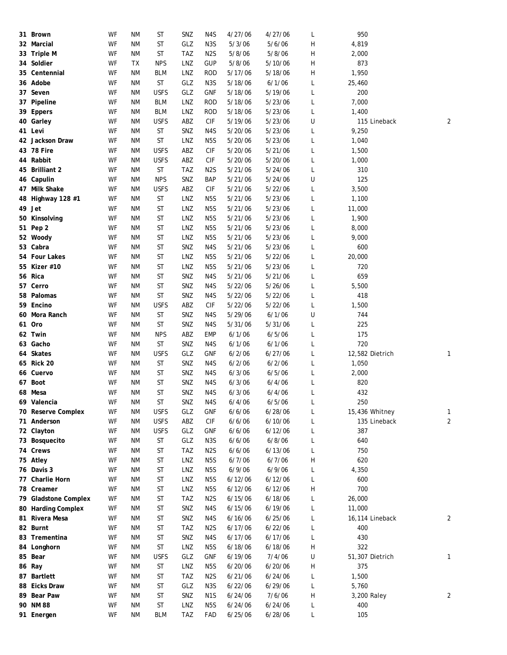| 31 Brown             | WF | <b>NM</b>              | <b>ST</b>            | SNZ        | N4S              | 4/27/06 | 4/27/06           | L | 950             |                |
|----------------------|----|------------------------|----------------------|------------|------------------|---------|-------------------|---|-----------------|----------------|
| 32 Marcial           | WF | <b>NM</b>              | <b>ST</b>            | GLZ        | N <sub>3</sub> S | 5/3/06  | 5/6/06            | Н | 4,819           |                |
| 33 Triple M          | WF | ΝM                     | ST                   | <b>TAZ</b> | N <sub>2</sub> S | 5/8/06  | 5/8/06            | н | 2,000           |                |
| 34 Soldier           | WF | <b>TX</b>              | <b>NPS</b>           | LNZ        | <b>GUP</b>       | 5/8/06  | 5/10/06           | Н | 873             |                |
| 35 Centennial        | WF | ΝM                     | BLM                  | LNZ        | ROD              | 5/17/06 | 5/18/06           | н | 1,950           |                |
| 36 Adobe             | WF | ΝM                     | ST                   | GLZ        | N <sub>3</sub> S | 5/18/06 | 6/1/06            | L | 25,460          |                |
| 37 Seven             | WF | ΝM                     | <b>USFS</b>          | GLZ        | <b>GNF</b>       | 5/18/06 | 5/19/06           | L | 200             |                |
| 37 Pipeline          | WF | ΝM                     | <b>BLM</b>           | LNZ        | <b>ROD</b>       | 5/18/06 | 5/23/06           | L | 7,000           |                |
| 39 Eppers            | WF | ΝM                     | <b>BLM</b>           | LNZ        | <b>ROD</b>       | 5/18/06 | 5/23/06           | L | 1,400           |                |
| 40 Garley            | WF | ΝM                     | <b>USFS</b>          | ABZ        | CIF              | 5/19/06 | 5/23/06           | U | 115 Lineback    | 2              |
| 41 Levi              | WF | ΝM                     | ST                   | SNZ        | N4S              | 5/20/06 | 5/23/06           | L | 9,250           |                |
| 42 Jackson Draw      | WF | ΝM                     | ST                   | LNZ        | N <sub>5</sub> S | 5/20/06 | 5/23/06           | L | 1,040           |                |
| 43 78 Fire           | WF | <b>NM</b>              | <b>USFS</b>          | ABZ        | <b>CIF</b>       | 5/20/06 | 5/21/06           | L | 1,500           |                |
| 44 Rabbit            | WF | ΝM                     | <b>USFS</b>          | ABZ        | CIF              | 5/20/06 | 5/20/06           | L | 1,000           |                |
| 45 Brilliant 2       | WF | ΝM                     | ST                   | <b>TAZ</b> | N2S              | 5/21/06 | 5/24/06           | L | 310             |                |
| 46 Capulin           | WF | ΝM                     | <b>NPS</b>           | SNZ        | BAP              | 5/21/06 | 5/24/06           | U | 125             |                |
| 47 Milk Shake        | WF | <b>NM</b>              | <b>USFS</b>          | ABZ        | <b>CIF</b>       | 5/21/06 | 5/22/06           |   |                 |                |
|                      | WF | ΝM                     | ST                   | LNZ        | N <sub>5</sub> S | 5/21/06 | 5/23/06           | L | 3,500           |                |
| 48 Highway 128 #1    |    |                        |                      |            |                  |         |                   | L | 1,100           |                |
| 49 Jet               | WF | <b>NM</b>              | <b>ST</b>            | LNZ        | N <sub>5</sub> S | 5/21/06 | 5/23/06           | L | 11,000          |                |
| 50 Kinsolving        | WF | <b>NM</b>              | ST                   | LNZ        | N5S              | 5/21/06 | 5/23/06           | L | 1,900           |                |
| 51 Pep 2             | WF | <b>NM</b>              | ST                   | LNZ        | N <sub>5</sub> S | 5/21/06 | 5/23/06           | L | 8,000           |                |
| 52 Woody             | WF | <b>NM</b>              | ST                   | LNZ        | N <sub>5</sub> S | 5/21/06 | 5/23/06           | L | 9,000           |                |
| 53 Cabra             | WF | ΝM                     | ST                   | SNZ        | N4S              | 5/21/06 | 5/23/06           | L | 600             |                |
| 54 Four Lakes        | WF | ΝM                     | <b>ST</b>            | LNZ        | N5S              | 5/21/06 | 5/22/06           | L | 20,000          |                |
| 55 Kizer #10         | WF | ΝM                     | ST                   | LNZ        | N5S              | 5/21/06 | 5/23/06           | L | 720             |                |
| 56 Rica              | WF | ΝM                     | ST                   | SNZ        | N4S              | 5/21/06 | 5/21/06           | L | 659             |                |
| 57 Cerro             | WF | ΝM                     | <b>ST</b>            | SNZ        | N4S              | 5/22/06 | 5/26/06           | L | 5,500           |                |
| 58 Palomas           | WF | ΝM                     | <b>ST</b>            | SNZ        | N4S              | 5/22/06 | 5/22/06           | L | 418             |                |
| 59 Encino            | WF | ΝM                     | <b>USFS</b>          | ABZ        | <b>CIF</b>       | 5/22/06 | 5/22/06           | L | 1,500           |                |
| 60 Mora Ranch        | WF | ΝM                     | <b>ST</b>            | SNZ        | N4S              | 5/29/06 | 6/1/06            | U | 744             |                |
| 61 Oro               | WF | ΝM                     | <b>ST</b>            | SNZ        | N4S              | 5/31/06 | 5/31/06           | L | 225             |                |
| 62 Twin              | WF | ΝM                     | <b>NPS</b>           | ABZ        | <b>EMP</b>       | 6/1/06  | 6/5/06            | L | 175             |                |
| 63 Gacho             | WF | ΝM                     | ST                   | SNZ        | N4S              | 6/1/06  | 6/1/06            | L | 720             |                |
| 64 Skates            | WF | ΝM                     | <b>USFS</b>          | GLZ        | GNF              | 6/2/06  | 6/27/06           | L | 12,582 Dietrich | 1              |
| 65 Rick 20           | WF | ΝM                     | <b>ST</b>            | SNZ        | N4S              | 6/2/06  | 6/2/06            | L | 1,050           |                |
| 66 Cuervo            | WF | ΝM                     | ST                   | SNZ        | N4S              | 6/3/06  | 6/5/06            | L | 2,000           |                |
| 67 Boot              | WF | <b>NM</b>              | <b>ST</b>            | SNZ        | N4S              | 6/3/06  | 6/4/06            | L | 820             |                |
| 68 Mesa              | WF | ΝM                     | <b>ST</b>            | SNZ        | N4S              | 6/3/06  | 6/4/06            | L | 432             |                |
| 69 Valencia          | WF | <b>NM</b>              | $\mathsf{ST}\xspace$ | SNZ        | N4S              | 6/4/06  | 6/5/06            | L | 250             |                |
| 70 Reserve Complex   | WF | <b>NM</b>              | <b>USFS</b>          | GLZ        | GNF              | 6/6/06  | 6/28/06           | L | 15,436 Whitney  | 1              |
| 71 Anderson          | WF | <b>NM</b>              | <b>USFS</b>          | ABZ        | <b>CIF</b>       | 6/6/06  | 6/10/06           |   | 135 Lineback    | $\overline{2}$ |
| 72 Clayton           | WF | <b>NM</b>              | <b>USFS</b>          | GLZ        | <b>GNF</b>       | 6/6/06  | 6/12/06           | L | 387             |                |
|                      |    |                        |                      |            |                  |         |                   | L |                 |                |
| 73 Bosquecito        | WF | <b>NM</b>              | ST                   | GLZ        | N <sub>3</sub> S | 6/6/06  | 6/8/06<br>6/13/06 | L | 640             |                |
| 74 Crews             | WF | <b>NM</b>              | <b>ST</b>            | TAZ        | N <sub>2</sub> S | 6/6/06  |                   | L | 750             |                |
| 75 Atley             | WF | ΝM                     | <b>ST</b>            | LNZ        | N5S              | 6/7/06  | 6/7/06            | Н | 620             |                |
| 76 Davis 3           | WF | ΝM                     | ST                   | LNZ        | N <sub>5</sub> S | 6/9/06  | 6/9/06            | L | 4,350           |                |
| 77 Charlie Horn      | WF | ΝM                     | <b>ST</b>            | LNZ        | N <sub>5</sub> S | 6/12/06 | 6/12/06           | L | 600             |                |
| 78 Creamer           | WF | ΝM                     | ST                   | LNZ        | N <sub>5</sub> S | 6/12/06 | 6/12/06           | Н | 700             |                |
| 79 Gladstone Complex | WF | ΝM                     | <b>ST</b>            | TAZ        | N <sub>2</sub> S | 6/15/06 | 6/18/06           | L | 26,000          |                |
| 80 Harding Complex   | WF | ΝM                     | <b>ST</b>            | SNZ        | N4S              | 6/15/06 | 6/19/06           | L | 11,000          |                |
| 81 Rivera Mesa       | WF | ΝM                     | ST                   | SNZ        | N4S              | 6/16/06 | 6/25/06           | L | 16,114 Lineback | 2              |
| 82 Burnt             | WF | <b>NM</b>              | <b>ST</b>            | <b>TAZ</b> | N <sub>2</sub> S | 6/17/06 | 6/22/06           | L | 400             |                |
| 83 Trementina        | WF | ΝM                     | ST                   | SNZ        | N4S              | 6/17/06 | 6/17/06           | L | 430             |                |
| 84 Longhorn          | WF | ΝM                     | ST                   | LNZ        | N <sub>5</sub> S | 6/18/06 | 6/18/06           | Н | 322             |                |
| 85 Bear              | WF | ΝM                     | <b>USFS</b>          | GLZ        | GNF              | 6/19/06 | 7/4/06            | U | 51,307 Dietrich | $\mathbf{1}$   |
| 86 Ray               | WF | ΝM                     | ST                   | LNZ        | N <sub>5</sub> S | 6/20/06 | 6/20/06           | Н | 375             |                |
| 87 Bartlett          | WF | <b>NM</b>              | ST                   | TAZ        | N <sub>2</sub> S | 6/21/06 | 6/24/06           | L | 1,500           |                |
| 88 Eicks Draw        | WF | ΝM                     | ST                   | GLZ        | N <sub>3</sub> S | 6/22/06 | 6/29/06           | L | 5,760           |                |
| 89 Bear Paw          | WF | <b>NM</b>              | ST                   | SNZ        | N <sub>1</sub> S | 6/24/06 | 7/6/06            | Н | 3,200 Raley     | 2              |
| 90 NM 88             | WF | <b>NM</b>              | ST                   | LNZ        | N <sub>5</sub> S | 6/24/06 | 6/24/06           | L | 400             |                |
| 91 Energen           | WF | $\mathsf{N}\mathsf{M}$ | <b>BLM</b>           | TAZ        | FAD              | 6/25/06 | 6/28/06           |   | 105             |                |